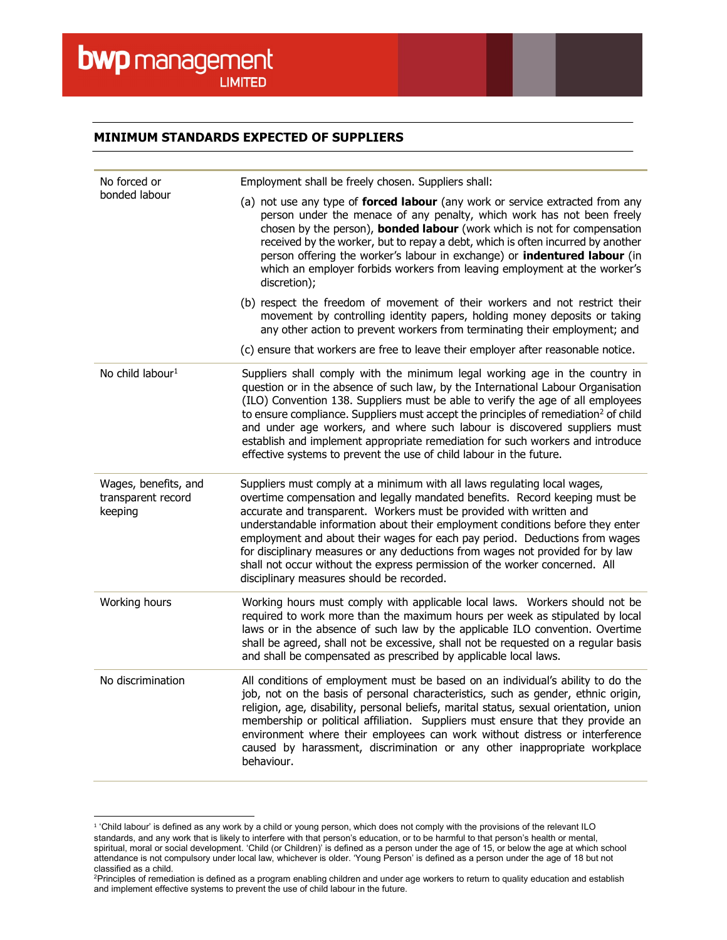$\overline{a}$ 

## MINIMUM STANDARDS EXPECTED OF SUPPLIERS

| No forced or<br>bonded labour                         | Employment shall be freely chosen. Suppliers shall:                                                                                                                                                                                                                                                                                                                                                                                                                                                                                                                                                           |
|-------------------------------------------------------|---------------------------------------------------------------------------------------------------------------------------------------------------------------------------------------------------------------------------------------------------------------------------------------------------------------------------------------------------------------------------------------------------------------------------------------------------------------------------------------------------------------------------------------------------------------------------------------------------------------|
|                                                       | (a) not use any type of forced labour (any work or service extracted from any<br>person under the menace of any penalty, which work has not been freely<br>chosen by the person), <b>bonded labour</b> (work which is not for compensation<br>received by the worker, but to repay a debt, which is often incurred by another<br>person offering the worker's labour in exchange) or indentured labour (in<br>which an employer forbids workers from leaving employment at the worker's<br>discretion);                                                                                                       |
|                                                       | (b) respect the freedom of movement of their workers and not restrict their<br>movement by controlling identity papers, holding money deposits or taking<br>any other action to prevent workers from terminating their employment; and                                                                                                                                                                                                                                                                                                                                                                        |
|                                                       | (c) ensure that workers are free to leave their employer after reasonable notice.                                                                                                                                                                                                                                                                                                                                                                                                                                                                                                                             |
| No child labour <sup>1</sup>                          | Suppliers shall comply with the minimum legal working age in the country in<br>question or in the absence of such law, by the International Labour Organisation<br>(ILO) Convention 138. Suppliers must be able to verify the age of all employees<br>to ensure compliance. Suppliers must accept the principles of remediation <sup>2</sup> of child<br>and under age workers, and where such labour is discovered suppliers must<br>establish and implement appropriate remediation for such workers and introduce<br>effective systems to prevent the use of child labour in the future.                   |
| Wages, benefits, and<br>transparent record<br>keeping | Suppliers must comply at a minimum with all laws regulating local wages,<br>overtime compensation and legally mandated benefits. Record keeping must be<br>accurate and transparent. Workers must be provided with written and<br>understandable information about their employment conditions before they enter<br>employment and about their wages for each pay period. Deductions from wages<br>for disciplinary measures or any deductions from wages not provided for by law<br>shall not occur without the express permission of the worker concerned. All<br>disciplinary measures should be recorded. |
| Working hours                                         | Working hours must comply with applicable local laws. Workers should not be<br>required to work more than the maximum hours per week as stipulated by local<br>laws or in the absence of such law by the applicable ILO convention. Overtime<br>shall be agreed, shall not be excessive, shall not be requested on a regular basis<br>and shall be compensated as prescribed by applicable local laws.                                                                                                                                                                                                        |
| No discrimination                                     | All conditions of employment must be based on an individual's ability to do the<br>job, not on the basis of personal characteristics, such as gender, ethnic origin,<br>religion, age, disability, personal beliefs, marital status, sexual orientation, union<br>membership or political affiliation. Suppliers must ensure that they provide an<br>environment where their employees can work without distress or interference<br>caused by harassment, discrimination or any other inappropriate workplace<br>behaviour.                                                                                   |

<sup>1</sup> 'Child labour' is defined as any work by a child or young person, which does not comply with the provisions of the relevant ILO standards, and any work that is likely to interfere with that person's education, or to be harmful to that person's health or mental, spiritual, moral or social development. 'Child (or Children)' is defined as a person under the age of 15, or below the age at which school attendance is not compulsory under local law, whichever is older. 'Young Person' is defined as a person under the age of 18 but not classified as a child.

<sup>2</sup>Principles of remediation is defined as a program enabling children and under age workers to return to quality education and establish and implement effective systems to prevent the use of child labour in the future.